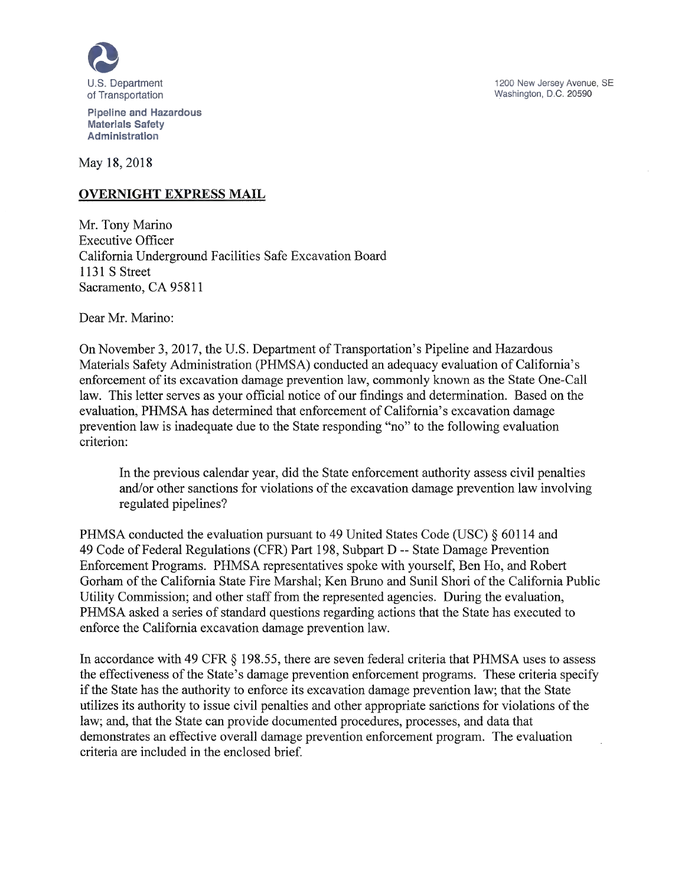

Pipeline and Hazardous Materials Safety Administration

May 18, 2018

# **OVERNIGHT EXPRESS MAIL**

Mr. Tony Marino Executive Officer California Underground Facilities Safe Excavation Board 1131 S Street Sacramento, CA *95811*

Dear Mr. Marino:

On November 3, 2017, the U.S. Department of Transportation's Pipeline and Hazardous Materials Safety Administration (PHMSA) conducted an adequacy evaluation of California's enforcement of its excavation damage prevention law, commonly known as the State One-Call law. This letter serves as your official notice of our findings and determination. Based on the evaluation, PHMSA has determined that enforcement of California's excavation damage prevention law is inadequate due to the State responding "no" to the following evaluation criterion:

In the previous calendar year, did the State enforcement authority assess civil penalties and/or other sanctions for violations of the excavation damage prevention law involving regulated pipelines?

PHMSA conducted the evaluation pursuant to 49 United States Code (USC) § 60114 and 49 Code of Federal Regulations (CFR) Part 198, Subpart D --State Damage Prevention Enforcement Programs. PHMSA representatives spoke with yourself, Ben Ho, and Robert Gorham of the California State Fire Marshal; Ken Bruno and Sunil Shori of the California Public Utility Commission; and other staff from the represented agencies. During the evaluation, PHMSA asked a series of standard questions regarding actions that the State has executed to enforce the California excavation damage prevention law.

In accordance with 49 CFR § 198.55, there are seven federal criteria that PHMSA uses to assess the effectiveness of the State's damage prevention enforcement programs. These criteria specify if the State has the authority to enforce its excavation damage prevention law; that the State utilizes its authority to issue civil penalties and other appropriate sanctions for violations of the law; and, that the State can provide documented procedures, processes, and data that demonstrates an effective overall damage prevention enforcement program. The evaluation criteria are included in the enclosed brief.

1200 New Jersey Avenue, SE Washington, D.C. 20590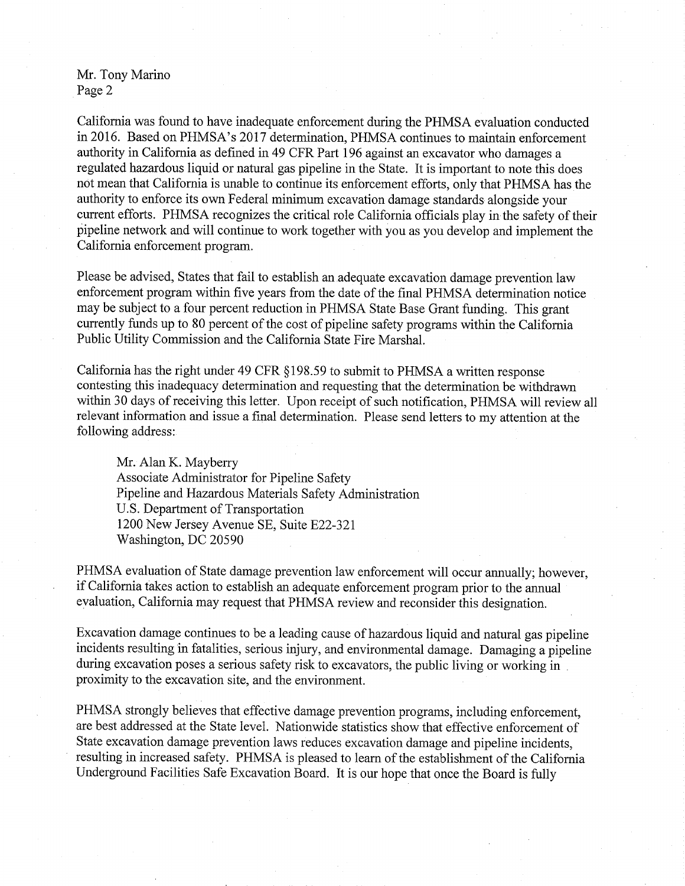### Mr. Tony Marino Page 2

California was found to have inadequate enforcement during the PHMSA evaluation conducted in 2016. Based on PHMSA's 2017 determination, PHMSA continues to maintain enforcement authority in California as defined in 49 CFR Part 196 against an excavator who damages a regulated hazardous liquid or natural gas pipeline in the State. It is important to note this does not mean that California is unable to continue its enforcement efforts, only that PHMSA has the authority to enforce its own Federal minimum excavation damage standards alongside your current efforts. PHMSA recognizes the critical role California officials play in the safety of their pipeline network and will continue to work together with you as you develop and implement the California enforcement program.

Please be advised, States that fail to establish an adequate excavation damage prevention law enforcement program within five years from the date of the final PHMSA determination notice may be subject to a four percent reduction in PHMSA State Base Grant funding. This grant currently funds up to 80 percent of the cost of pipeline safety programs within the California Public Utility Commission and the California State Fire Marshal.

California has the right under 49 CFR § 198.59 to submit to PHMSA a written response contesting this inadequacy determination and requesting that the determination be withdrawn within 30 days of receiving this letter. Upon receipt of such notification, PHMSA will review all relevant information and issue a final determination. Please send letters to my attention at the following address:

Mr. Alan K. Mayberry Associate Administrator for Pipeline Safety Pipeline and Hazardous Materials Safety Administration U.S. Department of Transportation 1200 New Jersey Avenue SE, Suite E22-321 Washington, DC 20590

PHMSA evaluation of State damage prevention law enforcement will occur annually; however, if California takes action to establish an adequate enforcement program prior to the annual evaluation, California may request that PHMSA review and reconsider this designation.

Excavation damage continues to be a leading cause of hazardous liquid and natural gas pipeline incidents resulting in fatalities, serious injury, and environmental damage. Damaging a pipeline during excavation poses a serious safety risk to excavators, the public living or working in proximity to the excavation site, and the environment.

PHMSA strongly believes that effective damage prevention programs, including enforcement, are best addressed at the State level. Nationwide statistics show that effective enforcement of State excavation damage prevention laws reduces excavation damage and pipeline incidents, resulting in increased safety. PHMSA is pleased to learn of the establishment of the California Underground Facilities Safe Excavation Board. It is our hope that once the Board is fully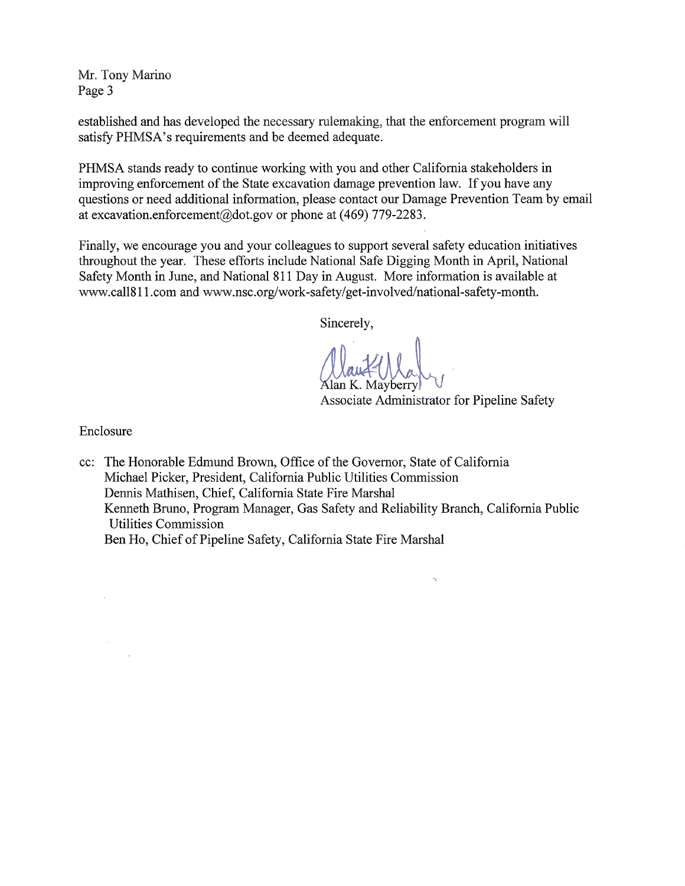Mr. Tony Marino Page 3

established and has developed the necessary rulemaking, that the enforcement program will satisfy PHMSA's requirements and be deemed adequate.

PHMSA stands ready to continue working with you and other California stakeholders in improving enforcement of the State excavation damage prevention law. If you have any questions or need additional information, please contact our Damage Prevention Team by email at excavation.enforcement@dot.gov or phone at (469) 779-2283.

Finally, we encourage you and your colleagues to support several safety education initiatives throughout the year. These efforts include National Safe Digging Month in April, National Safety Month in June, and National 811 Day in August. More information is available at www.call8 11 .com and www.nsc.org/work-safety/get-involved/national-safety-month.

Sincerely,

Alan K. Mayberry

Associate Administrator for Pipeline Safety

 $\gamma$ 

Enclosure

cc: The Honorable Edmund Brown, Office of the Governor, State of California Michael Picker, President, California Public Utilities Commission Dennis Mathisen, Chief, California State Fire Marshal Kenneth Bruno, Program Manager, Gas Safety and Reliability Branch, California Public Utilities Commission Ben Ho, Chief of Pipeline Safety, California State Fire Marshal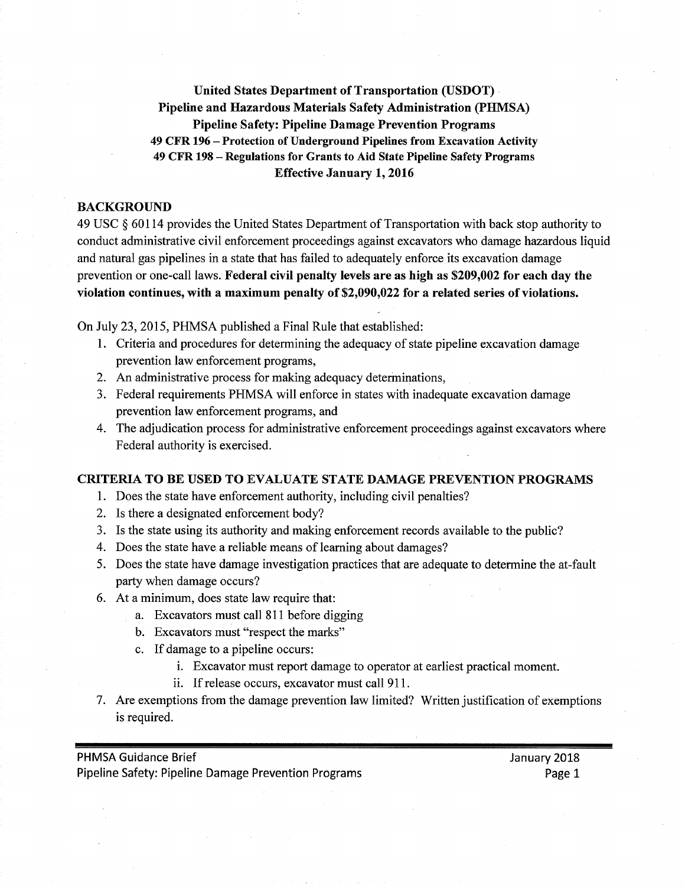**United States Department of Transportation (USDOT) Pipeline and Hazardous Materials Safety Administration (PHMSA) Pipeline Safety: Pipeline Damage Prevention Programs <sup>49</sup> CFR <sup>196</sup>** -**Protection of Underground Pipelines from Excavation Activity <sup>49</sup> CFR <sup>198</sup>** -**Regulations for Grants to Aid State Pipeline Safety Programs Effective January 1, 2016**

#### **BACKGROUND**

49 Usc § 60114 provides the United States Department of Transportation with back stop authority to conduct administrative civil enforcement proceedings against excavators who damage hazardous liquid and natural gas pipelines in a state that has failed to adequately enforce its excavation damage prevention or one-call laws. Federal **civil** penalty levels are as high as \$209,002 for each day the violation continues, **with** a maximum penalty of \$2,090,022 for a related series of violations.

On July 23, *2015,* PHMSA published a Final Rule that established:

- 1. criteria and procedures for determining the adequacy of state pipeline excavation damage prevention law enforcement programs,
- 2. An administrative process for making adequacy determinations,
- 3. Federal requirements PHMSA will enforce in states with inadequate excavation damage prevention law enforcement programs, and
- 4. The adjudication process for administrative enforcement proceedings against excavators where Federal authority is exercised.

#### **CRITERIA TO BE USED TO EVALUATE STATE DAMAGE PREVENTION PROGRAMS**

- 1. Does the state have enforcement authority, including civil penalties?
- 2. Is there a designated enforcement body?
- 3. Is the state using its authority and making enforcement records available to the public?
- 4. Does the state have a reliable means of learning about damages?
- *5.* Does the state have damage investigation practices that are adequate to determine the at-fault party when damage occurs?
- 6. At a minimum, does state law require that:
	- a. Excavators must call 811 before digging
	- b. Excavators must "respect the marks"
	- c. If damage to a pipeline occurs:
		- i. Excavator must report damage to operator at earliest practical moment.
		- ii. If release occurs, excavator must call 911.
- *7.* Are exemptions from the damage prevention law limited? Written justification of exemptions is required.

PHMSA Guidance Brief January 2018 Pipeline Safety: Pipeline Damage Prevention Programs **Page 1** Page 1